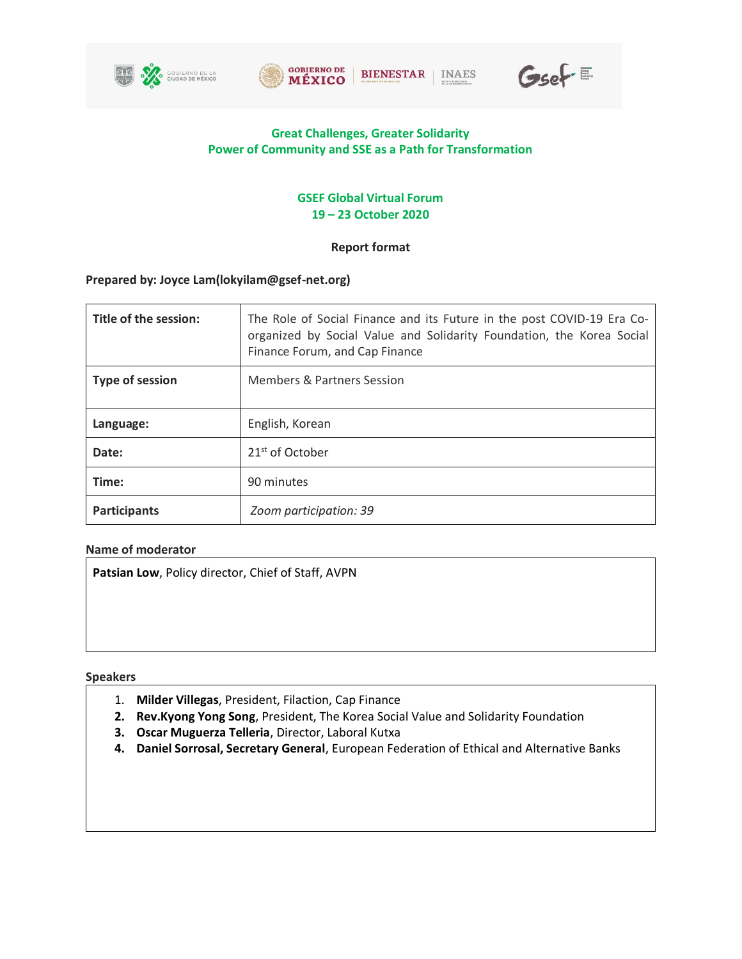







# **Great Challenges, Greater Solidarity Power of Community and SSE as a Path for Transformation**

# **GSEF Global Virtual Forum 19 – 23 October 2020**

# **Report format**

# **Prepared by: Joyce Lam(lokyilam@gsef-net.org)**

| Title of the session:  | The Role of Social Finance and its Future in the post COVID-19 Era Co-<br>organized by Social Value and Solidarity Foundation, the Korea Social<br>Finance Forum, and Cap Finance |
|------------------------|-----------------------------------------------------------------------------------------------------------------------------------------------------------------------------------|
| <b>Type of session</b> | <b>Members &amp; Partners Session</b>                                                                                                                                             |
| Language:              | English, Korean                                                                                                                                                                   |
| Date:                  | 21 <sup>st</sup> of October                                                                                                                                                       |
| Time:                  | 90 minutes                                                                                                                                                                        |
| Participants           | Zoom participation: 39                                                                                                                                                            |

## **Name of moderator**

**Patsian Low**, Policy director, Chief of Staff, AVPN

## **Speakers**

- 1. **Milder Villegas**, President, Filaction, Cap Finance
- **2. Rev.Kyong Yong Song**, President, The Korea Social Value and Solidarity Foundation
- **3. Oscar Muguerza Telleria**, Director, Laboral Kutxa
- **4. Daniel Sorrosal, Secretary General**, European Federation of Ethical and Alternative Banks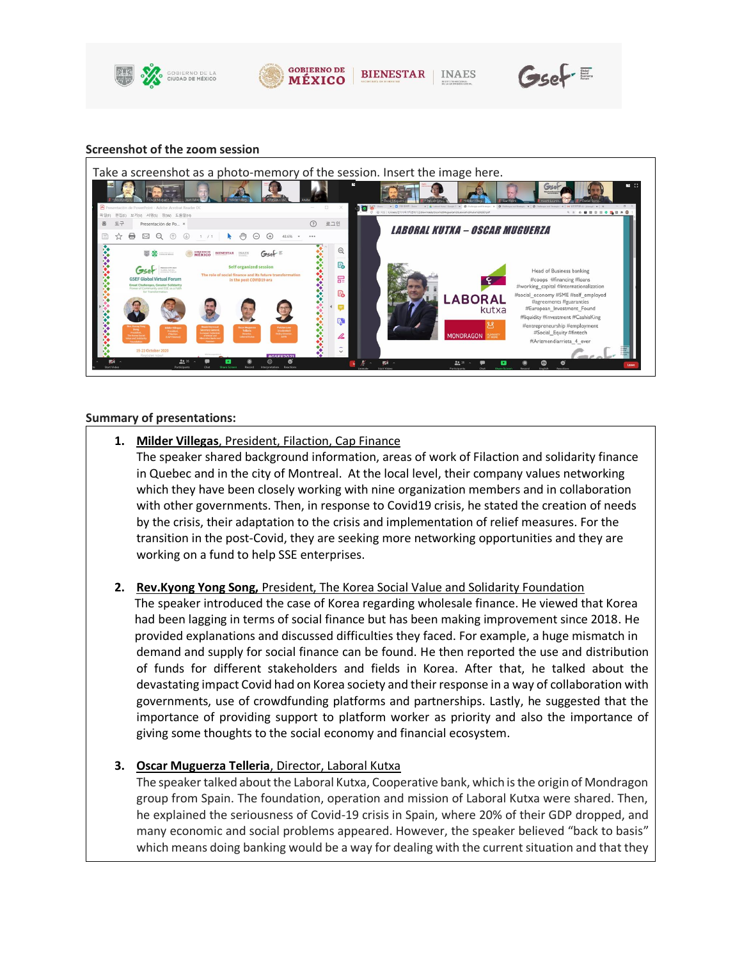



**BIENESTAR INAES** 



#### **Screenshot of the zoom session**



#### **Summary of presentations:**

**1. Milder Villegas**, President, Filaction, Cap Finance

The speaker shared background information, areas of work of Filaction and solidarity finance in Quebec and in the city of Montreal. At the local level, their company values networking which they have been closely working with nine organization members and in collaboration with other governments. Then, in response to Covid19 crisis, he stated the creation of needs by the crisis, their adaptation to the crisis and implementation of relief measures. For the transition in the post-Covid, they are seeking more networking opportunities and they are working on a fund to help SSE enterprises.

## **2. Rev.Kyong Yong Song,** President, The Korea Social Value and Solidarity Foundation

The speaker introduced the case of Korea regarding wholesale finance. He viewed that Korea had been lagging in terms of social finance but has been making improvement since 2018. He provided explanations and discussed difficulties they faced. For example, a huge mismatch in demand and supply for social finance can be found. He then reported the use and distribution of funds for different stakeholders and fields in Korea. After that, he talked about the devastating impact Covid had on Korea society and their response in a way of collaboration with governments, use of crowdfunding platforms and partnerships. Lastly, he suggested that the importance of providing support to platform worker as priority and also the importance of giving some thoughts to the social economy and financial ecosystem.

#### **3. Oscar Muguerza Telleria**, Director, Laboral Kutxa

The speaker talked about the Laboral Kutxa, Cooperative bank, which is the origin of Mondragon group from Spain. The foundation, operation and mission of Laboral Kutxa were shared. Then, he explained the seriousness of Covid-19 crisis in Spain, where 20% of their GDP dropped, and many economic and social problems appeared. However, the speaker believed "back to basis" which means doing banking would be a way for dealing with the current situation and that they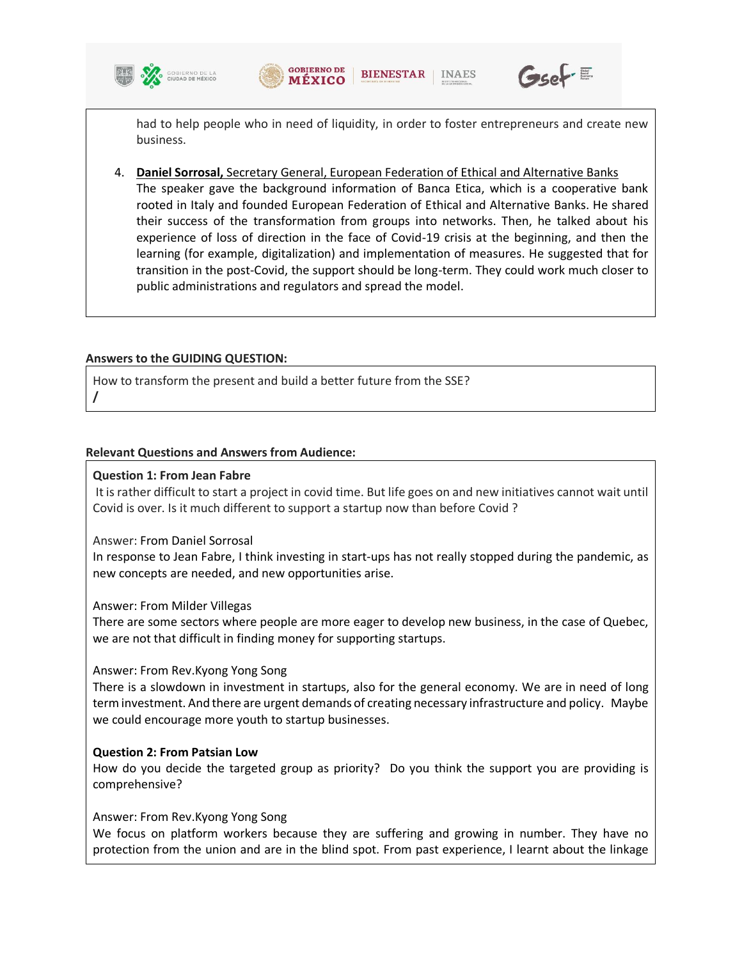





had to help people who in need of liquidity, in order to foster entrepreneurs and create new business.

4. **Daniel Sorrosal,** Secretary General, European Federation of Ethical and Alternative Banks The speaker gave the background information of Banca Etica, which is a cooperative bank rooted in Italy and founded European Federation of Ethical and Alternative Banks. He shared their success of the transformation from groups into networks. Then, he talked about his experience of loss of direction in the face of Covid-19 crisis at the beginning, and then the learning (for example, digitalization) and implementation of measures. He suggested that for transition in the post-Covid, the support should be long-term. They could work much closer to public administrations and regulators and spread the model.

### **Answers to the GUIDING QUESTION:**

How to transform the present and build a better future from the SSE? **/**

### **Relevant Questions and Answers from Audience:**

#### **Question 1: From Jean Fabre**

It is rather difficult to start a project in covid time. But life goes on and new initiatives cannot wait until Covid is over. Is it much different to support a startup now than before Covid ?

#### Answer: From Daniel Sorrosal

In response to Jean Fabre, I think investing in start-ups has not really stopped during the pandemic, as new concepts are needed, and new opportunities arise.

#### Answer: From Milder Villegas

There are some sectors where people are more eager to develop new business, in the case of Quebec, we are not that difficult in finding money for supporting startups.

#### Answer: From Rev.Kyong Yong Song

There is a slowdown in investment in startups, also for the general economy. We are in need of long term investment. And there are urgent demands of creating necessary infrastructure and policy. Maybe we could encourage more youth to startup businesses.

## **Question 2: From Patsian Low**

How do you decide the targeted group as priority? Do you think the support you are providing is comprehensive?

#### Answer: From Rev.Kyong Yong Song

We focus on platform workers because they are suffering and growing in number. They have no protection from the union and are in the blind spot. From past experience, I learnt about the linkage